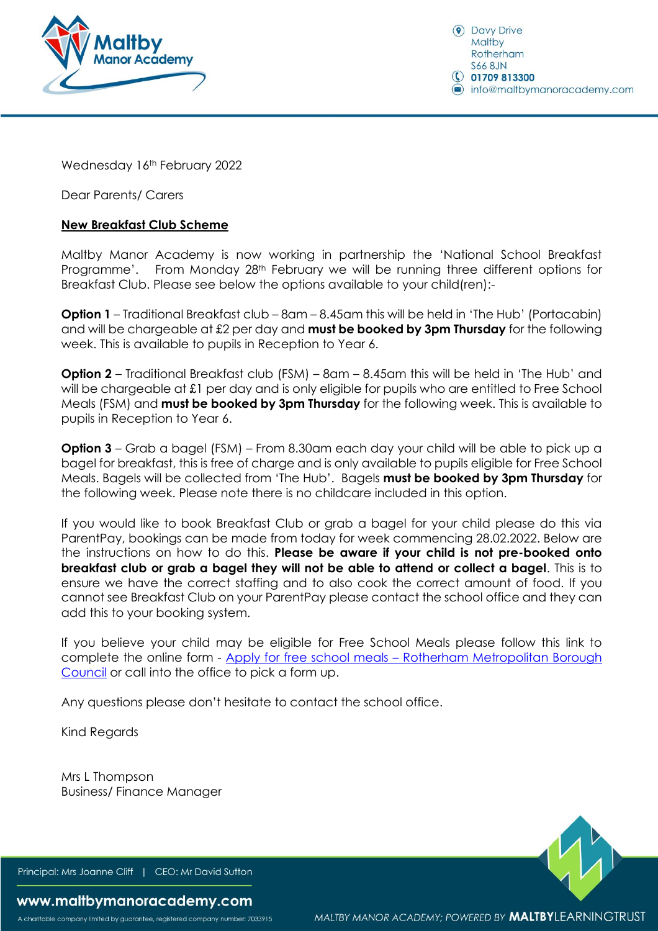

**O** Davy Drive Maltby Rotherham **S66 8JN**  $\bigcirc$  01709 813300 nfo@maltbymanoracademy.com

Wednesday 16th February 2022

Dear Parents/ Carers

## **New Breakfast Club Scheme**

Maltby Manor Academy is now working in partnership the 'National School Breakfast Programme'. From Monday 28th February we will be running three different options for Breakfast Club. Please see below the options available to your child(ren):-

**Option 1** – Traditional Breakfast club – 8am – 8.45am this will be held in 'The Hub' (Portacabin) and will be chargeable at £2 per day and **must be booked by 3pm Thursday** for the following week. This is available to pupils in Reception to Year 6.

**Option 2** – Traditional Breakfast club (FSM) – 8am – 8.45am this will be held in 'The Hub' and will be chargeable at £1 per day and is only eligible for pupils who are entitled to Free School Meals (FSM) and **must be booked by 3pm Thursday** for the following week. This is available to pupils in Reception to Year 6.

**Option 3** – Grab a bagel (FSM) – From 8.30am each day your child will be able to pick up a bagel for breakfast, this is free of charge and is only available to pupils eligible for Free School Meals. Bagels will be collected from 'The Hub'. Bagels **must be booked by 3pm Thursday** for the following week. Please note there is no childcare included in this option.

If you would like to book Breakfast Club or grab a bagel for your child please do this via ParentPay, bookings can be made from today for week commencing 28.02.2022. Below are the instructions on how to do this. **Please be aware if your child is not pre-booked onto breakfast club or grab a bagel they will not be able to attend or collect a bagel**. This is to ensure we have the correct staffing and to also cook the correct amount of food. If you cannot see Breakfast Club on your ParentPay please contact the school office and they can add this to your booking system.

If you believe your child may be eligible for Free School Meals please follow this link to complete the online form - Apply for free school meals – [Rotherham Metropolitan Borough](https://www.rotherham.gov.uk/xfp/form/532)  [Council](https://www.rotherham.gov.uk/xfp/form/532) or call into the office to pick a form up.

Any questions please don't hesitate to contact the school office.

Kind Regards

Mrs L Thompson Business/ Finance Manager

Principal: Mrs Joanne Cliff | CEO: Mr David Sutton

## www.maltbymanoracademy.com

A charitable company limited by guarantee, registered company number: 7033915